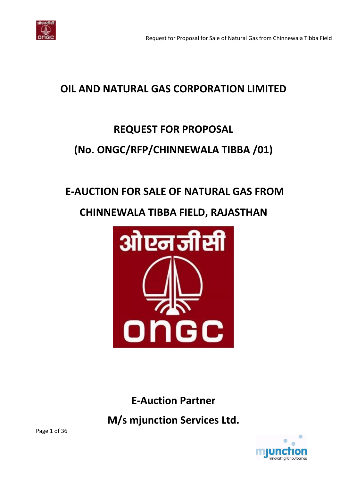

# **OIL AND NATURAL GAS CORPORATION LIMITED**

# **REQUEST FOR PROPOSAL**

# **(No. ONGC/RFP/CHINNEWALA TIBBA /01)**

# **E-AUCTION FOR SALE OF NATURAL GAS FROM**

# **CHINNEWALA TIBBA FIELD, RAJASTHAN**



**E-Auction Partner**

**M/s mjunction Services Ltd.**

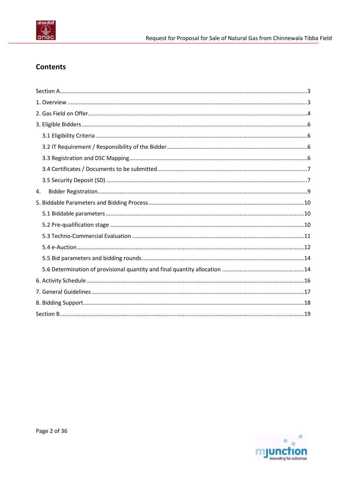

# **Contents**

| 4. |  |
|----|--|
|    |  |
|    |  |
|    |  |
|    |  |
|    |  |
|    |  |
|    |  |
|    |  |
|    |  |
|    |  |
|    |  |
|    |  |

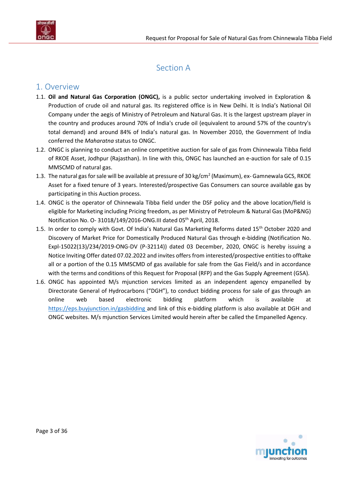

# Section A

# <span id="page-2-1"></span><span id="page-2-0"></span>1. Overview

- 1.1. **Oil and Natural Gas Corporation (ONGC),** is a public sector undertaking involved in Exploration & Production of crude oil and natural gas. Its registered office is in New Delhi. It is India's National Oil Company under the aegis of Ministry of Petroleum and Natural Gas. It is the largest upstream player in the country and produces around 70% of India's crude oil (equivalent to around 57% of the country's total demand) and around 84% of India's natural gas. In November 2010, the Government of India conferred the *Maharatna* status to ONGC.
- 1.2. ONGC is planning to conduct an online competitive auction for sale of gas from Chinnewala Tibba field of RKOE Asset, Jodhpur (Rajasthan). In line with this, ONGC has launched an e-auction for sale of 0.15 MMSCMD of natural gas.
- 1.3. The natural gas for sale will be available at pressure of 30 kg/cm<sup>2</sup> (Maximum), ex- Gamnewala GCS, RKOE Asset for a fixed tenure of 3 years. Interested/prospective Gas Consumers can source available gas by participating in this Auction process.
- 1.4. ONGC is the operator of Chinnewala Tibba field under the DSF policy and the above location/field is eligible for Marketing including Pricing freedom, as per Ministry of Petroleum & Natural Gas (MoP&NG) Notification No. O- 31018/149/2016-ONG. III dated 05<sup>th</sup> April, 2018.
- 1.5. In order to comply with Govt. Of India's Natural Gas Marketing Reforms dated 15<sup>th</sup> October 2020 and Discovery of Market Price for Domestically Produced Natural Gas through e-bidding (Notification No. Expl-15022(13)/234/2019-ONG-DV (P-32114)) dated 03 December, 2020, ONGC is hereby issuing a Notice Inviting Offer dated 07.02.2022 and invites offers from interested/prospective entities to offtake all or a portion of the 0.15 MMSCMD of gas available for sale from the Gas Field/s and in accordance with the terms and conditions of this Request for Proposal (RFP) and the Gas Supply Agreement (GSA).
- 1.6. ONGC has appointed M/s mjunction services limited as an independent agency empanelled by Directorate General of Hydrocarbons ("DGH"), to conduct bidding process for sale of gas through an online web based electronic bidding platform which is available at <https://eps.buyjunction.in/gasbidding> and link of this e-bidding platform is also available at DGH and ONGC websites. M/s mjunction Services Limited would herein after be called the Empanelled Agency.

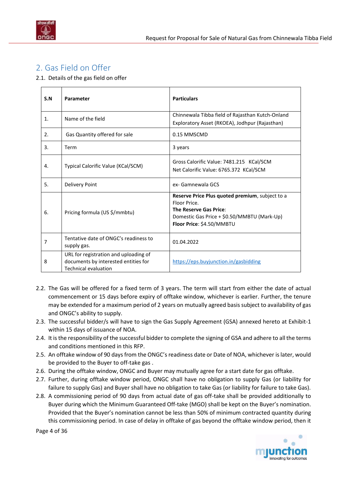

# <span id="page-3-0"></span>2. Gas Field on Offer

2.1. Details of the gas field on offer

| S.N | Parameter                                                                                                    | <b>Particulars</b>                                                                                                                                                    |
|-----|--------------------------------------------------------------------------------------------------------------|-----------------------------------------------------------------------------------------------------------------------------------------------------------------------|
| 1.  | Name of the field                                                                                            | Chinnewala Tibba field of Rajasthan Kutch-Onland<br>Exploratory Asset (RKOEA), Jodhpur (Rajasthan)                                                                    |
| 2.  | Gas Quantity offered for sale                                                                                | 0.15 MMSCMD                                                                                                                                                           |
| 3.  | Term                                                                                                         | 3 years                                                                                                                                                               |
| 4.  | Typical Calorific Value (KCal/SCM)                                                                           | Gross Calorific Value: 7481.215 KCal/SCM<br>Net Calorific Value: 6765.372 KCal/SCM                                                                                    |
| 5.  | <b>Delivery Point</b>                                                                                        | ex- Gamnewala GCS                                                                                                                                                     |
| 6.  | Pricing formula (US \$/mmbtu)                                                                                | Reserve Price Plus quoted premium, subject to a<br>Floor Price.<br>The Reserve Gas Price:<br>Domestic Gas Price + \$0.50/MMBTU (Mark-Up)<br>Floor Price: \$4.50/MMBTU |
| 7   | Tentative date of ONGC's readiness to<br>supply gas.                                                         | 01.04.2022                                                                                                                                                            |
| 8   | URL for registration and uploading of<br>documents by interested entities for<br><b>Technical evaluation</b> | https://eps.buyjunction.in/gasbidding                                                                                                                                 |

- 2.2. The Gas will be offered for a fixed term of 3 years. The term will start from either the date of actual commencement or 15 days before expiry of offtake window, whichever is earlier. Further, the tenure may be extended for a maximum period of 2 years on mutually agreed basis subject to availability of gas and ONGC's ability to supply.
- 2.3. The successful bidder/s will have to sign the Gas Supply Agreement (GSA) annexed hereto at Exhibit-1 within 15 days of issuance of NOA.
- 2.4. It is the responsibility of the successful bidder to complete the signing of GSA and adhere to all the terms and conditions mentioned in this RFP.
- 2.5. An offtake window of 90 days from the ONGC's readiness date or Date of NOA, whichever is later, would be provided to the Buyer to off-take gas .
- 2.6. During the offtake window, ONGC and Buyer may mutually agree for a start date for gas offtake.
- 2.7. Further, during offtake window period, ONGC shall have no obligation to supply Gas (or liability for failure to supply Gas) and Buyer shall have no obligation to take Gas (or liability for failure to take Gas).
- 2.8. A commissioning period of 90 days from actual date of gas off-take shall be provided additionally to Buyer during which the Minimum Guaranteed Off-take (MGO) shall be kept on the Buyer's nomination. Provided that the Buyer's nomination cannot be less than 50% of minimum contracted quantity during this commissioning period. In case of delay in offtake of gas beyond the offtake window period, then it

Page 4 of 36

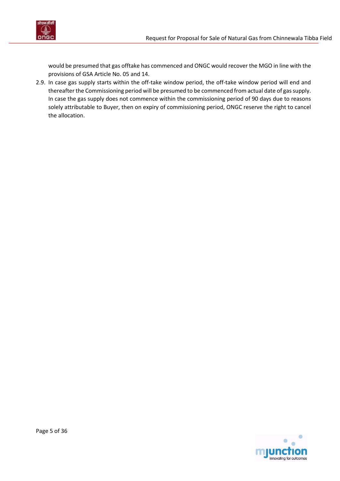

would be presumed that gas offtake has commenced and ONGC would recover the MGO in line with the provisions of GSA Article No. 05 and 14.

2.9. In case gas supply starts within the off-take window period, the off-take window period will end and thereafter the Commissioning period will be presumed to be commenced from actual date of gas supply. In case the gas supply does not commence within the commissioning period of 90 days due to reasons solely attributable to Buyer, then on expiry of commissioning period, ONGC reserve the right to cancel the allocation.

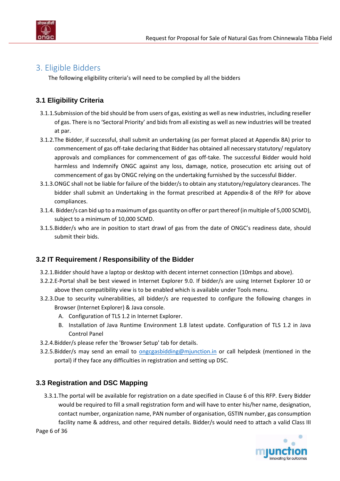

# <span id="page-5-0"></span>3. Eligible Bidders

The following eligibility criteria's will need to be complied by all the bidders

## <span id="page-5-1"></span>**3.1 Eligibility Criteria**

- 3.1.1.Submission of the bid should be from users of gas, existing as well as new industries, including reseller of gas. There is no 'Sectoral Priority' and bids from all existing as well as new industries will be treated at par.
- 3.1.2.The Bidder, if successful, shall submit an undertaking (as per format placed at [Appendix 8A\)](#page-28-0) prior to commencement of gas off-take declaring that Bidder has obtained all necessary statutory/ regulatory approvals and compliances for commencement of gas off-take. The successful Bidder would hold harmless and Indemnify ONGC against any loss, damage, notice, prosecution etc arising out of commencement of gas by ONGC relying on the undertaking furnished by the successful Bidder.
- 3.1.3.ONGC shall not be liable for failure of the bidder/s to obtain any statutory/regulatory clearances. The bidder shall submit an Undertaking in the format prescribed at [Appendix-8](#page-26-0) of the RFP for above compliances.
- 3.1.4. Bidder/s can bid up to a maximum of gas quantity on offer or part thereof (in multiple of 5,000 SCMD), subject to a minimum of 10,000 SCMD.
- 3.1.5.Bidder/s who are in position to start drawl of gas from the date of ONGC's readiness date, should submit their bids.

## <span id="page-5-2"></span>**3.2 IT Requirement / Responsibility of the Bidder**

- 3.2.1.Bidder should have a laptop or desktop with decent internet connection (10mbps and above).
- 3.2.2.E-Portal shall be best viewed in Internet Explorer 9.0. If bidder/s are using Internet Explorer 10 or above then compatibility view is to be enabled which is available under Tools menu.
- 3.2.3.Due to security vulnerabilities, all bidder/s are requested to configure the following changes in Browser (Internet Explorer) & Java console.
	- A. Configuration of TLS 1.2 in Internet Explorer.
	- B. Installation of Java Runtime Environment 1.8 latest update. Configuration of TLS 1.2 in Java Control Panel
- 3.2.4.Bidder/s please refer the 'Browser Setup' tab for details.
- 3.2.5.Bidder/s may send an email to [ongcgasbidding@mjunction.in](mailto:ongcgasbidding@mjunction.in) or call helpdesk (mentioned in the portal) if they face any difficulties in registration and setting up DSC.

### <span id="page-5-3"></span>**3.3 Registration and DSC Mapping**

3.3.1.The portal will be available for registration on a date specified in [Clause 6](#page-15-1) of this RFP. Every Bidder would be required to fill a small registration form and will have to enter his/her name, designation, contact number, organization name, PAN number of organisation, GSTIN number, gas consumption facility name & address, and other required details. Bidder/s would need to attach a valid Class III

Page 6 of 36

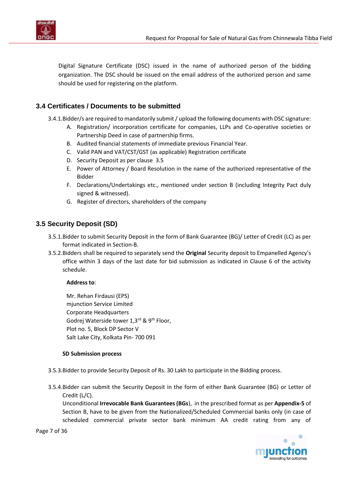

Digital Signature Certificate (DSC) issued in the name of authorized person of the bidding organization. The DSC should be issued on the email address of the authorized person and same should be used for registering on the platform.

### <span id="page-6-0"></span>**3.4 Certificates / Documents to be submitted**

3.4.1.Bidder/s are required to mandatorily submit / upload the following documents with DSC signature:

- A. Registration/ incorporation certificate for companies, LLPs and Co-operative societies or Partnership Deed in case of partnership firms.
- B. Audited financial statements of immediate previous Financial Year.
- C. Valid PAN and VAT/CST/GST (as applicable) Registration certificate
- D. Security Deposit as pe[r clause 3.5](#page-6-2)
- E. Power of Attorney / Board Resolution in the name of the authorized representative of the Bidder
- F. Declarations/Undertakings etc., mentioned under [section B](#page-18-0) (including Integrity Pact duly signed & witnessed).
- G. Register of directors, shareholders of the company

### <span id="page-6-3"></span><span id="page-6-2"></span><span id="page-6-1"></span>**3.5 Security Deposit (SD)**

- 3.5.1.Bidder to submit Security Deposit in the form of Bank Guarantee (BG)/ Letter of Credit (LC) as per format indicated i[n Section-B.](#page-18-0)
- 3.5.2.Bidders shall be required to separately send the **Original** Security deposit to Empanelled Agency's office within 3 days of the last date for bid submission as indicated in Clause 6 of the activity schedule.

#### **Address to**:

Mr. Rehan Firdausi (EPS) mjunction Service Limited Corporate Headquarters Godrej Waterside tower 1,3rd & 9th Floor, Plot no. 5, Block DP Sector V Salt Lake City, Kolkata Pin- 700 091

#### **SD Submission process**

- 3.5.3.Bidder to provide Security Deposit of Rs. 30 Lakh to participate in the Bidding process.
- 3.5.4.Bidder can submit the Security Deposit in the form of either Bank Guarantee (BG) or Letter of Credit (L/C).

Unconditional **Irrevocable Bank Guarantees (BGs**), in the prescribed format as per **[Appendix-5](#page-21-0)** of Section B, have to be given from the Nationalized/Scheduled Commercial banks only (in case of scheduled commercial private sector bank minimum AA credit rating from any of

Page 7 of 36

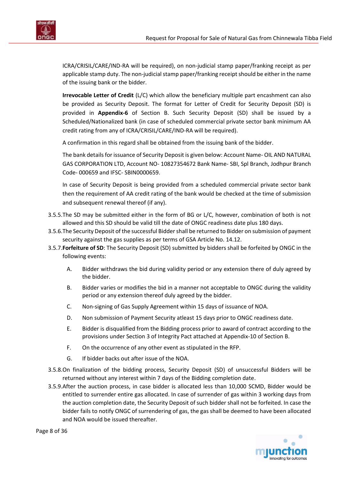

ICRA/CRISIL/CARE/IND-RA will be required), on non-judicial stamp paper/franking receipt as per applicable stamp duty. The non-judicial stamp paper/franking receipt should be either in the name of the issuing bank or the bidder.

**Irrevocable Letter of Credit** (L/C) which allow the beneficiary multiple part encashment can also be provided as Security Deposit. The format for Letter of Credit for Security Deposit (SD) is provided in **[Appendix-6](#page-24-0)** of Section B. Such Security Deposit (SD) shall be issued by a Scheduled/Nationalized bank (in case of scheduled commercial private sector bank minimum AA credit rating from any of ICRA/CRISIL/CARE/IND-RA will be required).

A confirmation in this regard shall be obtained from the issuing bank of the bidder.

The bank details for issuance of Security Deposit is given below: Account Name- OIL AND NATURAL GAS CORPORATION LTD, Account NO- 10827354672 Bank Name- SBI, Spl Branch, Jodhpur Branch Code- 000659 and IFSC- SBIN0000659.

In case of Security Deposit is being provided from a scheduled commercial private sector bank then the requirement of AA credit rating of the bank would be checked at the time of submission and subsequent renewal thereof (if any).

- 3.5.5.The SD may be submitted either in the form of BG or L/C, however, combination of both is not allowed and this SD should be valid till the date of ONGC readiness date plus 180 days.
- 3.5.6.The Security Deposit of the successful Bidder shall be returned to Bidder on submission of payment security against the gas supplies as per terms of GSA Article No. 14.12.
- 3.5.7.**Forfeiture of SD**: The Security Deposit (SD) submitted by bidders shall be forfeited by ONGC in the following events:
	- A. Bidder withdraws the bid during validity period or any extension there of duly agreed by the bidder.
	- B. Bidder varies or modifies the bid in a manner not acceptable to ONGC during the validity period or any extension thereof duly agreed by the bidder.
	- C. Non-signing of Gas Supply Agreement within 15 days of issuance of NOA.
	- D. Non submission of Payment Security atleast 15 days prior to ONGC readiness date.
	- E. Bidder is disqualified from the Bidding process prior to award of contract according to the provisions under Section 3 of Integrity Pact attached at [Appendix-10](#page-30-0) of Section B.
	- F. On the occurrence of any other event as stipulated in the RFP.
	- G. If bidder backs out after issue of the NOA.
- 3.5.8.On finalization of the bidding process, Security Deposit (SD) of unsuccessful Bidders will be returned without any interest within 7 days of the Bidding completion date.
- 3.5.9.After the auction process, in case bidder is allocated less than 10,000 SCMD, Bidder would be entitled to surrender entire gas allocated. In case of surrender of gas within 3 working days from the auction completion date, the Security Deposit of such bidder shall not be forfeited. In case the bidder fails to notify ONGC of surrendering of gas, the gas shall be deemed to have been allocated and NOA would be issued thereafter.



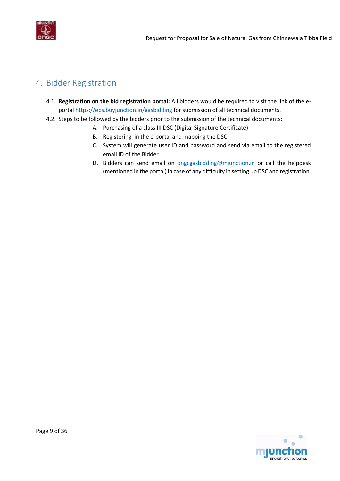

# <span id="page-8-0"></span>4. Bidder Registration

- 4.1. **Registration on the bid registration portal:** All bidders would be required to visit the link of the eportal<https://eps.buyjunction.in/gasbidding> for submission of all technical documents.
- 4.2. Steps to be followed by the bidders prior to the submission of the technical documents:
	- A. Purchasing of a class III DSC (Digital Signature Certificate)
	- B. Registering in the e-portal and mapping the DSC
	- C. System will generate user ID and password and send via email to the registered email ID of the Bidder
	- D. Bidders can send email on **ongcgasbidding@mjunction.in** or call the helpdesk (mentioned in the portal) in case of any difficulty in setting up DSC and registration.

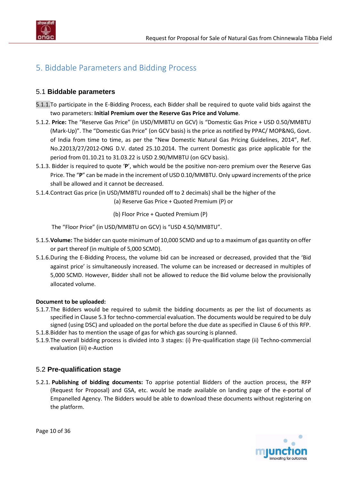

# <span id="page-9-1"></span><span id="page-9-0"></span>5. Biddable Parameters and Bidding Process

### 5.1 **Biddable parameters**

- 5.1.1.To participate in the E-Bidding Process, each Bidder shall be required to quote valid bids against the two parameters: **Initial Premium over the Reserve Gas Price and Volume**.
- 5.1.2. **Price:** The "Reserve Gas Price" (in USD/MMBTU on GCV) is "Domestic Gas Price + USD 0.50/MMBTU (Mark-Up)". The "Domestic Gas Price" (on GCV basis) is the price as notified by PPAC/ MOP&NG, Govt. of India from time to time, as per the "New Domestic Natural Gas Pricing Guidelines, 2014", Ref. No.22013/27/2012-ONG D.V. dated 25.10.2014. The current Domestic gas price applicable for the period from 01.10.21 to 31.03.22 is USD 2.90/MMBTU (on GCV basis).
- 5.1.3. Bidder is required to quote '**P**', which would be the positive non-zero premium over the Reserve Gas Price. The "**P**" can be made in the increment of USD 0.10/MMBTU. Only upward increments of the price shall be allowed and it cannot be decreased.
- 5.1.4.Contract Gas price (in USD/MMBTU rounded off to 2 decimals) shall be the higher of the

(a) Reserve Gas Price + Quoted Premium (P) or

(b) Floor Price + Quoted Premium (P)

The "Floor Price" (in USD/MMBTU on GCV) is "USD 4.50/MMBTU".

- 5.1.5.**Volume:** The bidder can quote minimum of 10,000 SCMD and up to a maximum of gas quantity on offer or part thereof (in multiple of 5,000 SCMD).
- 5.1.6.During the E-Bidding Process, the volume bid can be increased or decreased, provided that the 'Bid against price' is simultaneously increased. The volume can be increased or decreased in multiples of 5,000 SCMD. However, Bidder shall not be allowed to reduce the Bid volume below the provisionally allocated volume.

#### **Document to be uploaded:**

- 5.1.7.The Bidders would be required to submit the bidding documents as per the list of documents as specified in [Clause 5.3](#page-10-1) for techno-commercial evaluation. The documents would be required to be duly signed (using DSC) and uploaded on the portal before the due date as specified i[n Clause 6](#page-15-1) of this RFP.
- 5.1.8.Bidder has to mention the usage of gas for which gas sourcing is planned.
- 5.1.9.The overall bidding process is divided into 3 stages: (i) Pre-qualification stage (ii) Techno-commercial evaluation (iii) e-Auction

### <span id="page-9-2"></span>5.2 **Pre-qualification stage**

5.2.1. **Publishing of bidding documents:** To apprise potential Bidders of the auction process, the RFP (Request for Proposal) and GSA, etc. would be made available on landing page of the e-portal of Empanelled Agency. The Bidders would be able to download these documents without registering on the platform.



Page 10 of 36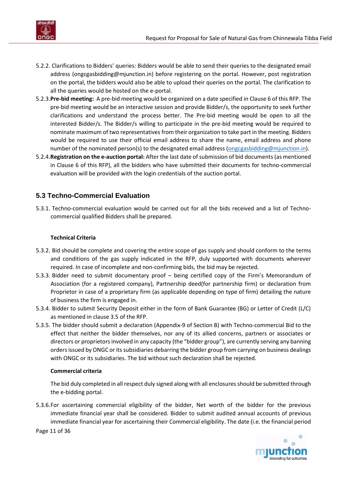

- 5.2.2. Clarifications to Bidders' queries: Bidders would be able to send their queries to the designated email address (ongcgasbidding@mjunction.in) before registering on the portal. However, post registration on the portal, the bidders would also be able to upload their queries on the portal. The clarification to all the queries would be hosted on the e-portal.
- 5.2.3.**Pre-bid meeting:** A pre-bid meeting would be organized on a date specified i[n Clause 6](#page-15-1) of this RFP. The pre-bid meeting would be an interactive session and provide Bidder/s, the opportunity to seek further clarifications and understand the process better. The Pre-bid meeting would be open to all the interested Bidder/s. The Bidder/s willing to participate in the pre-bid meeting would be required to nominate maximum of two representatives from their organization to take part in the meeting. Bidders would be required to use their official email address to share the name, email address and phone number of the nominated person(s) to the designated email address [\(ongcgasbidding@mjunction.in\)](mailto:ongcgasbidding@mjunction.in).
- 5.2.4.**Registration on the e-auction portal:** After the last date of submission of bid documents (as mentioned in [Clause 6](#page-15-1) of this RFP), all the bidders who have submitted their documents for techno-commercial evaluation will be provided with the login credentials of the auction portal.

### <span id="page-10-1"></span><span id="page-10-0"></span>**5.3 Techno-Commercial Evaluation**

5.3.1. Techno-commercial evaluation would be carried out for all the bids received and a list of Technocommercial qualified Bidders shall be prepared.

#### **Technical Criteria**

- 5.3.2. Bid should be complete and covering the entire scope of gas supply and should conform to the terms and conditions of the gas supply indicated in the RFP, duly supported with documents wherever required. In case of incomplete and non-confirming bids, the bid may be rejected.
- 5.3.3. Bidder need to submit documentary proof being certified copy of the Firm's Memorandum of Association (for a registered company), Partnership deed(for partnership firm) or declaration from Proprietor in case of a proprietary firm (as applicable depending on type of firm) detailing the nature of business the firm is engaged in.
- 5.3.4. Bidder to submit Security Deposit either in the form of Bank Guarantee (BG) or Letter of Credit (L/C) as mentioned in [clause 3.5](#page-6-2) of the RFP.
- 5.3.5. The bidder should submit a declaration [\(Appendix-9](#page-29-0) of Section B) with Techno-commercial Bid to the effect that neither the bidder themselves, nor any of its allied concerns, partners or associates or directors or proprietors involved in any capacity (the "bidder group"), are currently serving any banning orders issued by ONGC or its subsidiaries debarring the bidder group from carrying on business dealings with ONGC or its subsidiaries. The bid without such declaration shall be rejected.

#### **Commercial criteria**

The bid duly completed in all respect duly signed along with all enclosures should be submitted through the e-bidding portal.

5.3.6.For ascertaining commercial eligibility of the bidder, Net worth of the bidder for the previous immediate financial year shall be considered. Bidder to submit audited annual accounts of previous immediate financial year for ascertaining their Commercial eligibility. The date (i.e. the financial period

Page 11 of 36

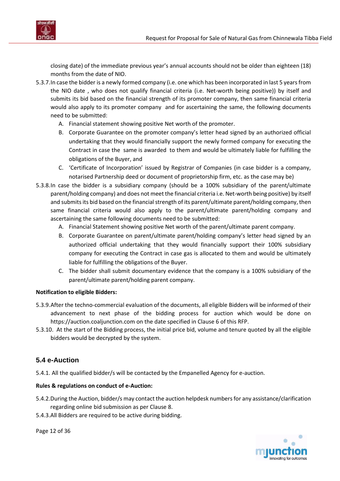

closing date) of the immediate previous year's annual accounts should not be older than eighteen (18) months from the date of NIO.

- 5.3.7.In case the bidder is a newly formed company (i.e. one which has been incorporated in last 5 years from the NIO date , who does not qualify financial criteria (i.e. Net-worth being positive)) by itself and submits its bid based on the financial strength of its promoter company, then same financial criteria would also apply to its promoter company and for ascertaining the same, the following documents need to be submitted:
	- A. Financial statement showing positive Net worth of the promoter.
	- B. Corporate Guarantee on the promoter company's letter head signed by an authorized official undertaking that they would financially support the newly formed company for executing the Contract in case the same is awarded to them and would be ultimately liable for fulfilling the obligations of the Buyer, and
	- C. 'Certificate of Incorporation' issued by Registrar of Companies (in case bidder is a company, notarised Partnership deed or document of proprietorship firm, etc. as the case may be)
- 5.3.8.In case the bidder is a subsidiary company (should be a 100% subsidiary of the parent/ultimate parent/holding company) and does not meet the financial criteria i.e. Net-worth being positive) by itself and submits its bid based on the financial strength of its parent/ultimate parent/holding company, then same financial criteria would also apply to the parent/ultimate parent/holding company and ascertaining the same following documents need to be submitted:
	- A. Financial Statement showing positive Net worth of the parent/ultimate parent company.
	- B. Corporate Guarantee on parent/ultimate parent/holding company's letter head signed by an authorized official undertaking that they would financially support their 100% subsidiary company for executing the Contract in case gas is allocated to them and would be ultimately liable for fulfilling the obligations of the Buyer.
	- C. The bidder shall submit documentary evidence that the company is a 100% subsidiary of the parent/ultimate parent/holding parent company.

### **Notification to eligible Bidders:**

- 5.3.9.After the techno-commercial evaluation of the documents, all eligible Bidders will be informed of their advancement to next phase of the bidding process for auction which would be done on [https://auction.coaljunction.com](https://auction.coaljunction.com/) on the date specified in [Clause 6](#page-15-1) of this RFP.
- 5.3.10. At the start of the Bidding process, the initial price bid, volume and tenure quoted by all the eligible bidders would be decrypted by the system.

## <span id="page-11-0"></span>**5.4 e-Auction**

5.4.1. All the qualified bidder/s will be contacted by the Empanelled Agency for e-auction.

#### **Rules & regulations on conduct of e-Auction:**

- 5.4.2.During the Auction, bidder/s may contact the auction helpdesk numbers for any assistance/clarification regarding online bid submission as pe[r Clause 8.](#page-17-1)
- 5.4.3.All Bidders are required to be active during bidding.

Page 12 of 36

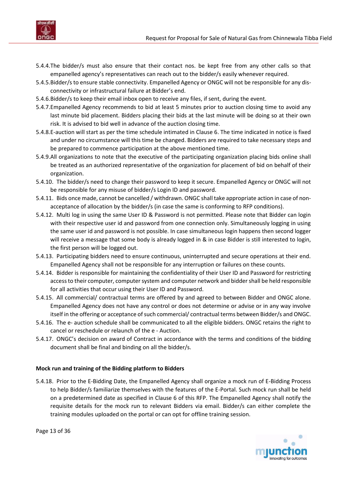

- 5.4.4.The bidder/s must also ensure that their contact nos. be kept free from any other calls so that empanelled agency's representatives can reach out to the bidder/s easily whenever required.
- 5.4.5.Bidder/s to ensure stable connectivity. Empanelled Agency or ONGC will not be responsible for any disconnectivity or infrastructural failure at Bidder's end.
- 5.4.6.Bidder/s to keep their email inbox open to receive any files, if sent, during the event.
- 5.4.7.Empanelled Agency recommends to bid at least 5 minutes prior to auction closing time to avoid any last minute bid placement. Bidders placing their bids at the last minute will be doing so at their own risk. It is advised to bid well in advance of the auction closing time.
- 5.4.8.E-auction will start as per the time schedule intimated in [Clause 6.](#page-15-1) The time indicated in notice is fixed and under no circumstance will this time be changed. Bidders are required to take necessary steps and be prepared to commence participation at the above mentioned time.
- 5.4.9.All organizations to note that the executive of the participating organization placing bids online shall be treated as an authorized representative of the organization for placement of bid on behalf of their organization.
- 5.4.10. The bidder/s need to change their password to keep it secure. Empanelled Agency or ONGC will not be responsible for any misuse of bidder/s Login ID and password.
- 5.4.11. Bids once made, cannot be cancelled / withdrawn. ONGC shall take appropriate action in case of nonacceptance of allocation by the bidder/s (in case the same is conforming to RFP conditions).
- 5.4.12. Multi log in using the same User ID & Password is not permitted. Please note that Bidder can login with their respective user id and password from one connection only. Simultaneously logging in using the same user id and password is not possible. In case simultaneous login happens then second logger will receive a message that some body is already logged in & in case Bidder is still interested to login, the first person will be logged out.
- 5.4.13. Participating bidders need to ensure continuous, uninterrupted and secure operations at their end. Empanelled Agency shall not be responsible for any interruption or failures on these counts.
- 5.4.14. Bidder is responsible for maintaining the confidentiality of their User ID and Password for restricting access to their computer, computer system and computer network and bidder shall be held responsible for all activities that occur using their User ID and Password.
- 5.4.15. All commercial/ contractual terms are offered by and agreed to between Bidder and ONGC alone. Empanelled Agency does not have any control or does not determine or advise or in any way involve itself in the offering or acceptance of such commercial/ contractual terms between Bidder/s and ONGC.
- 5.4.16. The e- auction schedule shall be communicated to all the eligible bidders. ONGC retains the right to cancel or reschedule or relaunch of the e - Auction.
- 5.4.17. ONGC's decision on award of Contract in accordance with the terms and conditions of the bidding document shall be final and binding on all the bidder/s.

#### **Mock run and training of the Bidding platform to Bidders**

5.4.18. Prior to the E-Bidding Date, the Empanelled Agency shall organize a mock run of E-Bidding Process to help Bidder/s familiarize themselves with the features of the E-Portal. Such mock run shall be held on a predetermined date as specified in [Clause 6](#page-15-1) of this RFP. The Empanelled Agency shall notify the requisite details for the mock run to relevant Bidders via email. Bidder/s can either complete the training modules uploaded on the portal or can opt for offline training session.

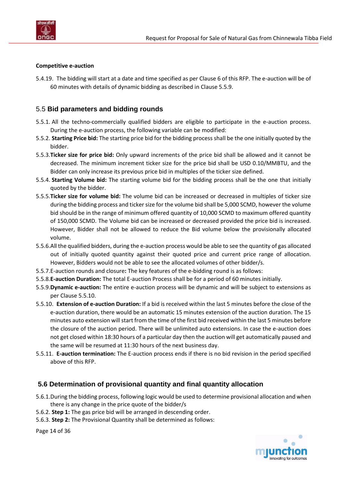

#### **Competitive e-auction**

5.4.19. The bidding will start at a date and time specified as per [Clause 6](#page-15-1) of this RFP. The e-auction will be of 60 minutes with details of dynamic bidding as described i[n Clause](#page-13-2) 5.5.9.

### <span id="page-13-0"></span>5.5 **Bid parameters and bidding rounds**

- 5.5.1. All the techno-commercially qualified bidders are eligible to participate in the e-auction process. During the e-auction process, the following variable can be modified:
- 5.5.2. **Starting Price bid:** The starting price bid for the bidding process shall be the one initially quoted by the bidder.
- 5.5.3.**Ticker size for price bid:** Only upward increments of the price bid shall be allowed and it cannot be decreased. The minimum increment ticker size for the price bid shall be USD 0.10/MMBTU, and the Bidder can only increase its previous price bid in multiples of the ticker size defined.
- 5.5.4. **Starting Volume bid:** The starting volume bid for the bidding process shall be the one that initially quoted by the bidder.
- 5.5.5.**Ticker size for volume bid:** The volume bid can be increased or decreased in multiples of ticker size during the bidding process and ticker size for the volume bid shall be 5,000 SCMD, however the volume bid should be in the range of minimum offered quantity of 10,000 SCMD to maximum offered quantity of 150,000 SCMD. The Volume bid can be increased or decreased provided the price bid is increased. However, Bidder shall not be allowed to reduce the Bid volume below the provisionally allocated volume.
- 5.5.6.All the qualified bidders, during the e-auction process would be able to see the quantity of gas allocated out of initially quoted quantity against their quoted price and current price range of allocation. However, Bidders would not be able to see the allocated volumes of other bidder/s.
- <span id="page-13-4"></span>5.5.7.E-auction rounds and closure**:** The key features of the e-bidding round is as follows:
- 5.5.8.**E-auction Duration:** The total E-auction Process shall be for a period of 60 minutes initially.
- <span id="page-13-2"></span>5.5.9.**Dynamic e-auction:** The entire e-auction process will be dynamic and will be subject to extensions as per Clause [5.5.10.](#page-13-3)
- <span id="page-13-3"></span>5.5.10. **Extension of e-auction Duration:** If a bid is received within the last 5 minutes before the close of the e-auction duration, there would be an automatic 15 minutes extension of the auction duration. The 15 minutes auto extension will start from the time of the first bid received within the last 5 minutes before the closure of the auction period. There will be unlimited auto extensions. In case the e-auction does not get closed within 18:30 hours of a particular day then the auction will get automatically paused and the same will be resumed at 11:30 hours of the next business day.
- 5.5.11. **E-auction termination:** The E-auction process ends if there is no bid revision in the period specified above of this RFP.

### <span id="page-13-1"></span>**5.6 Determination of provisional quantity and final quantity allocation**

- 5.6.1.During the bidding process, following logic would be used to determine provisional allocation and when there is any change in the price quote of the bidder/s
- 5.6.2. **Step 1:** The gas price bid will be arranged in descending order.
- 5.6.3. **Step 2:** The Provisional Quantity shall be determined as follows:

Page 14 of 36

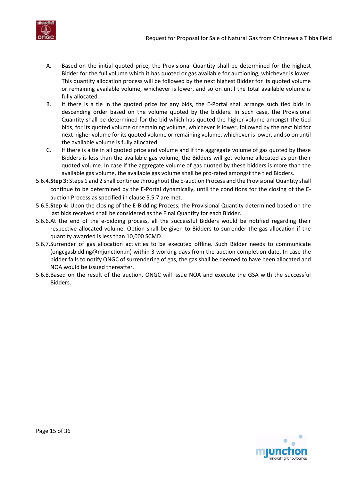

- A. Based on the initial quoted price, the Provisional Quantity shall be determined for the highest Bidder for the full volume which it has quoted or gas available for auctioning, whichever is lower. This quantity allocation process will be followed by the next highest Bidder for its quoted volume or remaining available volume, whichever is lower, and so on until the total available volume is fully allocated.
- B. If there is a tie in the quoted price for any bids, the E-Portal shall arrange such tied bids in descending order based on the volume quoted by the bidders. In such case, the Provisional Quantity shall be determined for the bid which has quoted the higher volume amongst the tied bids, for its quoted volume or remaining volume, whichever is lower, followed by the next bid for next higher volume for its quoted volume or remaining volume, whichever is lower, and so on until the available volume is fully allocated.
- C. If there is a tie in all quoted price and volume and if the aggregate volume of gas quoted by these Bidders is less than the available gas volume, the Bidders will get volume allocated as per their quoted volume. In case if the aggregate volume of gas quoted by these bidders is more than the available gas volume, the available gas volume shall be pro-rated amongst the tied Bidders.
- 5.6.4.**Step 3:** Steps 1 and 2 shall continue throughout the E-auction Process and the Provisional Quantity shall continue to be determined by the E-Portal dynamically, until the conditions for the closing of the Eauction Process as specified in clause [5.5.7](#page-13-4) are met.
- 5.6.5.**Step 4:** Upon the closing of the E-Bidding Process, the Provisional Quantity determined based on the last bids received shall be considered as the Final Quantity for each Bidder.
- 5.6.6.At the end of the e-bidding process, all the successful Bidders would be notified regarding their respective allocated volume. Option shall be given to Bidders to surrender the gas allocation if the quantity awarded is less than 10,000 SCMD.
- 5.6.7.Surrender of gas allocation activities to be executed offline. Such Bidder needs to communicate [\(ongcgasbidding@mjunction.in\)](mailto:ongcgasbidding@mjunction.in) within 3 working days from the auction completion date. In case the bidder fails to notify ONGC of surrendering of gas, the gas shall be deemed to have been allocated and NOA would be issued thereafter.
- 5.6.8.Based on the result of the auction, ONGC will issue NOA and execute the GSA with the successful Bidders.

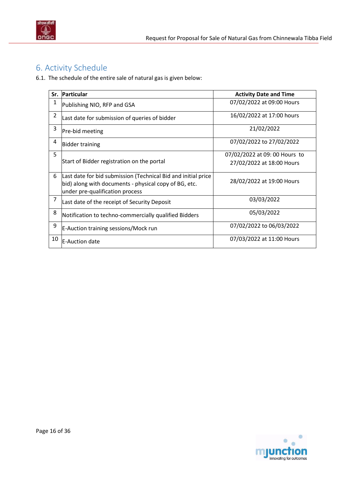

# <span id="page-15-1"></span><span id="page-15-0"></span>6. Activity Schedule

6.1. The schedule of the entire sale of natural gas is given below:

|                | Sr. Particular                                                                                                                                            | <b>Activity Date and Time</b> |
|----------------|-----------------------------------------------------------------------------------------------------------------------------------------------------------|-------------------------------|
| 1              | Publishing NIO, RFP and GSA                                                                                                                               | 07/02/2022 at 09:00 Hours     |
| $\overline{2}$ | Last date for submission of queries of bidder                                                                                                             | 16/02/2022 at 17:00 hours     |
| 3              | Pre-bid meeting                                                                                                                                           | 21/02/2022                    |
| 4              | <b>Bidder training</b>                                                                                                                                    | 07/02/2022 to 27/02/2022      |
| 5              |                                                                                                                                                           | 07/02/2022 at 09: 00 Hours to |
|                | Start of Bidder registration on the portal                                                                                                                | 27/02/2022 at 18:00 Hours     |
| 6              | Last date for bid submission (Technical Bid and initial price<br>bid) along with documents - physical copy of BG, etc.<br>under pre-qualification process | 28/02/2022 at 19:00 Hours     |
| 7              | Last date of the receipt of Security Deposit                                                                                                              | 03/03/2022                    |
| 8              | Notification to techno-commercially qualified Bidders                                                                                                     | 05/03/2022                    |
| 9              | E-Auction training sessions/Mock run                                                                                                                      | 07/02/2022 to 06/03/2022      |
| 10             | <b>E-Auction date</b>                                                                                                                                     | 07/03/2022 at 11:00 Hours     |

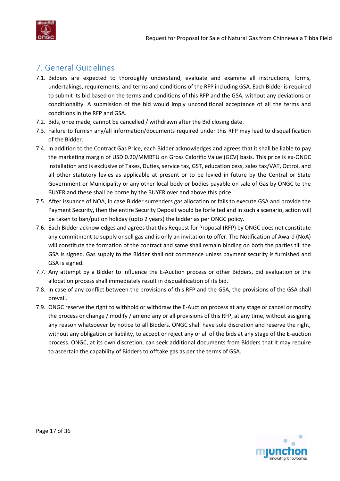

# <span id="page-16-0"></span>7. General Guidelines

- 7.1. Bidders are expected to thoroughly understand, evaluate and examine all instructions, forms, undertakings, requirements, and terms and conditions of the RFP including GSA. Each Bidder is required to submit its bid based on the terms and conditions of this RFP and the GSA, without any deviations or conditionality. A submission of the bid would imply unconditional acceptance of all the terms and conditions in the RFP and GSA.
- 7.2. Bids, once made, cannot be cancelled / withdrawn after the Bid closing date.
- 7.3. Failure to furnish any/all information/documents required under this RFP may lead to disqualification of the Bidder.
- 7.4. In addition to the Contract Gas Price, each Bidder acknowledges and agrees that it shall be liable to pay the marketing margin of USD 0.20/MMBTU on Gross Calorific Value (GCV) basis. This price is ex-ONGC installation and is exclusive of Taxes, Duties, service tax, GST, education cess, sales tax/VAT, Octroi, and all other statutory levies as applicable at present or to be levied in future by the Central or State Government or Municipality or any other local body or bodies payable on sale of Gas by ONGC to the BUYER and these shall be borne by the BUYER over and above this price.
- 7.5. After issuance of NOA, in case Bidder surrenders gas allocation or fails to execute GSA and provide the Payment Security, then the entire Security Deposit would be forfeited and in such a scenario, action will be taken to ban/put on holiday (upto 2 years) the bidder as per ONGC policy.
- 7.6. Each Bidder acknowledges and agrees that this Request for Proposal (RFP) by ONGC does not constitute any commitment to supply or sell gas and is only an invitation to offer. The Notification of Award (NoA) will constitute the formation of the contract and same shall remain binding on both the parties till the GSA is signed. Gas supply to the Bidder shall not commence unless payment security is furnished and GSA is signed.
- 7.7. Any attempt by a Bidder to influence the E-Auction process or other Bidders, bid evaluation or the allocation process shall immediately result in disqualification of its bid.
- 7.8. In case of any conflict between the provisions of this RFP and the GSA, the provisions of the GSA shall prevail.
- 7.9. ONGC reserve the right to withhold or withdraw the E-Auction process at any stage or cancel or modify the process or change / modify / amend any or all provisions of this RFP, at any time, without assigning any reason whatsoever by notice to all Bidders. ONGC shall have sole discretion and reserve the right, without any obligation or liability, to accept or reject any or all of the bids at any stage of the E-auction process. ONGC, at its own discretion, can seek additional documents from Bidders that it may require to ascertain the capability of Bidders to offtake gas as per the terms of GSA.

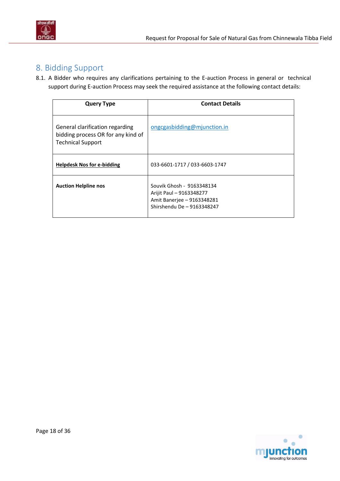

# <span id="page-17-1"></span><span id="page-17-0"></span>8. Bidding Support

8.1. A Bidder who requires any clarifications pertaining to the E-auction Process in general or technical support during E-auction Process may seek the required assistance at the following contact details:

| <b>Query Type</b>                                                                                 | <b>Contact Details</b>                                                                                            |
|---------------------------------------------------------------------------------------------------|-------------------------------------------------------------------------------------------------------------------|
| General clarification regarding<br>bidding process OR for any kind of<br><b>Technical Support</b> | ongcgasbidding@mjunction.in                                                                                       |
| <b>Helpdesk Nos for e-bidding</b>                                                                 | 033-6601-1717 / 033-6603-1747                                                                                     |
| <b>Auction Helpline nos</b>                                                                       | Souvik Ghosh - 9163348134<br>Arijit Paul - 9163348277<br>Amit Banerjee - 9163348281<br>Shirshendu De - 9163348247 |

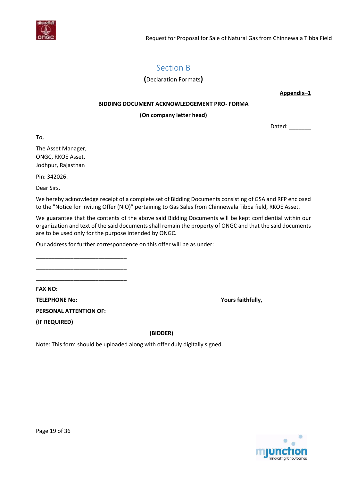<span id="page-18-0"></span>

# Section B

**(**Declaration Formats**)**

**Appendix–1** 

#### **BIDDING DOCUMENT ACKNOWLEDGEMENT PRO- FORMA**

#### **(On company letter head)**

Dated: \_\_\_\_\_\_\_\_

To,

The Asset Manager, ONGC, RKOE Asset, Jodhpur, Rajasthan

Pin: 342026.

Dear Sirs,

We hereby acknowledge receipt of a complete set of Bidding Documents consisting of GSA and RFP enclosed to the "Notice for inviting Offer (NIO)" pertaining to Gas Sales from Chinnewala Tibba field, RKOE Asset.

We guarantee that the contents of the above said Bidding Documents will be kept confidential within our organization and text of the said documents shall remain the property of ONGC and that the said documents are to be used only for the purpose intended by ONGC.

Our address for further correspondence on this offer will be as under:

**FAX NO:**

**TELEPHONE No: Yours faithfully,**

**PERSONAL ATTENTION OF:**

\_\_\_\_\_\_\_\_\_\_\_\_\_\_\_\_\_\_\_\_\_\_\_\_\_\_\_\_\_ \_\_\_\_\_\_\_\_\_\_\_\_\_\_\_\_\_\_\_\_\_\_\_\_\_\_\_\_\_ \_\_\_\_\_\_\_\_\_\_\_\_\_\_\_\_\_\_\_\_\_\_\_\_\_\_\_\_\_

**(IF REQUIRED)**

 **(BIDDER)**

Note: This form should be uploaded along with offer duly digitally signed.

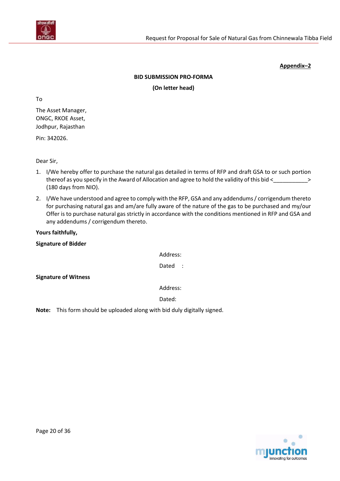

#### **BID SUBMISSION PRO-FORMA**

#### **(On letter head)**

To

The Asset Manager, ONGC, RKOE Asset, Jodhpur, Rajasthan

Pin: 342026.

Dear Sir,

- 1. I/We hereby offer to purchase the natural gas detailed in terms of RFP and draft GSA to or such portion thereof as you specify in the Award of Allocation and agree to hold the validity of this bid < \_\_\_\_\_\_\_\_\_\_\_\_\_\_> (180 days from NIO).
- 2. I/We have understood and agree to comply with the RFP, GSA and any addendums / corrigendum thereto for purchasing natural gas and am/are fully aware of the nature of the gas to be purchased and my/our Offer is to purchase natural gas strictly in accordance with the conditions mentioned in RFP and GSA and any addendums / corrigendum thereto.

#### **Yours faithfully,**

#### **Signature of Bidder**

Address:

Dated :

**Signature of Witness**

Address:

Dated:

**Note:** This form should be uploaded along with bid duly digitally signed.

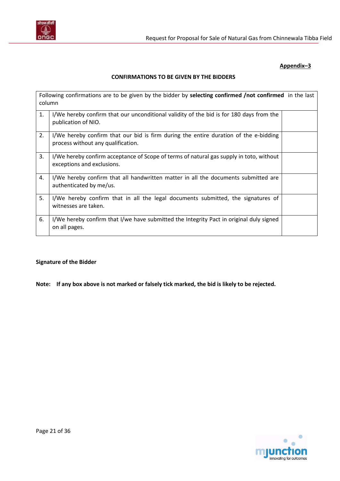

#### **CONFIRMATIONS TO BE GIVEN BY THE BIDDERS**

| Following confirmations are to be given by the bidder by selecting confirmed /not confirmed in the last<br>column |                                                                                                                            |  |  |
|-------------------------------------------------------------------------------------------------------------------|----------------------------------------------------------------------------------------------------------------------------|--|--|
| 1.                                                                                                                | I/We hereby confirm that our unconditional validity of the bid is for 180 days from the<br>publication of NIO.             |  |  |
| 2.                                                                                                                | I/We hereby confirm that our bid is firm during the entire duration of the e-bidding<br>process without any qualification. |  |  |
| 3.                                                                                                                | I/We hereby confirm acceptance of Scope of terms of natural gas supply in toto, without<br>exceptions and exclusions.      |  |  |
| 4.                                                                                                                | I/We hereby confirm that all handwritten matter in all the documents submitted are<br>authenticated by me/us.              |  |  |
| 5.                                                                                                                | I/We hereby confirm that in all the legal documents submitted, the signatures of<br>witnesses are taken.                   |  |  |
| 6.                                                                                                                | I/We hereby confirm that I/we have submitted the Integrity Pact in original duly signed<br>on all pages.                   |  |  |

#### **Signature of the Bidder**

**Note: If any box above is not marked or falsely tick marked, the bid is likely to be rejected.**

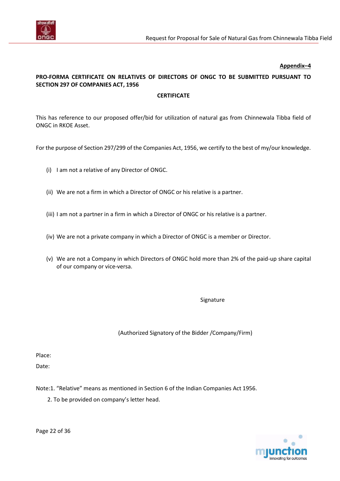

### **PRO-FORMA CERTIFICATE ON RELATIVES OF DIRECTORS OF ONGC TO BE SUBMITTED PURSUANT TO SECTION 297 OF COMPANIES ACT, 1956**

#### **CERTIFICATE**

This has reference to our proposed offer/bid for utilization of natural gas from Chinnewala Tibba field of ONGC in RKOE Asset.

For the purpose of Section 297/299 of the Companies Act, 1956, we certify to the best of my/our knowledge.

- (i) I am not a relative of any Director of ONGC.
- (ii) We are not a firm in which a Director of ONGC or his relative is a partner.
- (iii) I am not a partner in a firm in which a Director of ONGC or his relative is a partner.
- (iv) We are not a private company in which a Director of ONGC is a member or Director.
- (v) We are not a Company in which Directors of ONGC hold more than 2% of the paid-up share capital of our company or vice-versa.

Signature

(Authorized Signatory of the Bidder /Company/Firm)

Place:

Date:

Note:1. "Relative" means as mentioned in Section 6 of the Indian Companies Act 1956.

<span id="page-21-0"></span>2. To be provided on company's letter head.



Page 22 of 36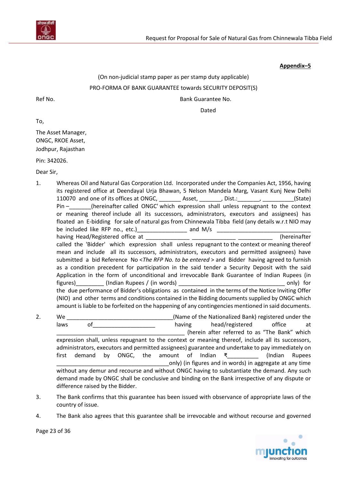

# (On non-judicial stamp paper as per stamp duty applicable) PRO-FORMA OF BANK GUARANTEE towards SECURITY DEPOSIT(S) Ref No. **Bank Guarantee No. Bank Guarantee No.**

Dated

To,

The Asset Manager, ONGC, RKOE Asset, Jodhpur, Rajasthan

Pin: 342026.

Dear Sir,

- 1. Whereas Oil and Natural Gas Corporation Ltd. Incorporated under the Companies Act, 1956, having its registered office at Deendayal Urja Bhawan, 5 Nelson Mandela Marg, Vasant Kunj New Delhi 110070 and one of its offices at ONGC, \_\_\_\_\_\_\_ Asset, \_\_\_\_\_\_, Dist.: \_\_\_\_\_\_\_, \_\_\_\_\_\_\_\_\_(State) Pin – \_\_\_\_\_\_\_(hereinafter called ONGC' which expression shall unless repugnant to the context or meaning thereof include all its successors, administrators, executors and assignees) has floated an E-bidding for sale of natural gas from Chinnewala Tibba field (any details w.r.t NIO may be included like RFP no., etc.)  $\Box$  and M/s  $\Box$ having Head/Registered office at \_\_\_\_\_\_\_\_\_\_\_\_\_\_ \_\_\_\_\_\_\_\_\_\_\_\_\_\_ \_\_\_\_\_\_\_\_\_\_\_ (hereinafter called the 'Bidder' which expression shall unless repugnant to the context or meaning thereof mean and include all its successors, administrators, executors and permitted assignees) have submitted a bid Reference No <*The RFP No. to be entered* > and Bidder having agreed to furnish as a condition precedent for participation in the said tender a Security Deposit with the said Application in the form of unconditional and irrevocable Bank Guarantee of Indian Rupees (in figures)\_\_\_\_\_\_\_\_\_ (Indian Rupees / (in words) \_\_\_\_\_\_\_\_\_\_\_\_\_\_\_\_\_\_\_\_\_\_\_\_\_\_\_\_\_\_\_\_\_\_ only) for the due performance of Bidder's obligations as contained in the terms of the Notice Inviting Offer (NIO) and other terms and conditions contained in the Bidding documents supplied by ONGC which amount is liable to be forfeited on the happening of any contingencies mentioned in said documents. 2. We we can construct the Chame of the Nationalized Bank) registered under the
- laws of the characteristic of the having head/registered office at \_\_\_\_\_\_\_\_\_\_\_\_\_\_\_\_\_\_\_\_\_\_\_\_\_\_\_\_\_\_\_\_\_\_\_\_\_\_\_\_\_ (herein after referred to as "The Bank" which expression shall, unless repugnant to the context or meaning thereof, include all its successors, administrators, executors and permitted assignees) guarantee and undertake to pay immediately on first demand by ONGC, the amount of Indian ₹\_\_\_\_\_\_\_\_\_\_ (Indian Rupees only) (in figures and in words) in aggregate at any time without any demur and recourse and without ONGC having to substantiate the demand. Any such demand made by ONGC shall be conclusive and binding on the Bank irrespective of any dispute or difference raised by the Bidder.
- 3. The Bank confirms that this guarantee has been issued with observance of appropriate laws of the country of issue.
- 4. The Bank also agrees that this guarantee shall be irrevocable and without recourse and governed

innovating for outcomes

Page 23 of 36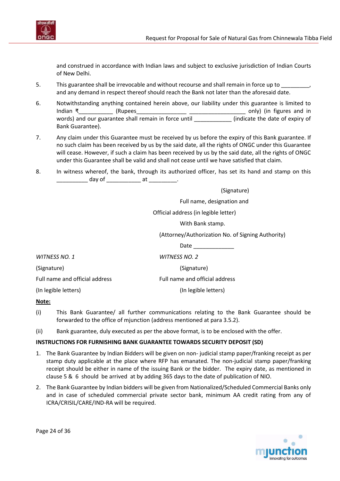

and construed in accordance with Indian laws and subject to exclusive jurisdiction of Indian Courts of New Delhi.

- 5. This guarantee shall be irrevocable and without recourse and shall remain in force up to and any demand in respect thereof should reach the Bank not later than the aforesaid date.
- 6. Notwithstanding anything contained herein above, our liability under this guarantee is limited to Indian ₹\_\_\_\_\_\_\_\_\_\_\_ (Rupees\_\_\_\_\_\_\_\_\_\_\_\_\_\_\_\_ \_\_\_\_\_\_\_\_\_\_\_\_\_\_\_\_\_\_ only) (in figures and in words) and our guarantee shall remain in force until **the set of expiry of the date of expiry of** Bank Guarantee).
- 7. Any claim under this Guarantee must be received by us before the expiry of this Bank guarantee. If no such claim has been received by us by the said date, all the rights of ONGC under this Guarantee will cease. However, if such a claim has been received by us by the said date, all the rights of ONGC under this Guarantee shall be valid and shall not cease until we have satisfied that claim.
- 8. In witness whereof, the bank, through its authorized officer, has set its hand and stamp on this  $day of$  at  $\qquad \qquad$  .

|                                | (Signature)                                       |  |
|--------------------------------|---------------------------------------------------|--|
|                                | Full name, designation and                        |  |
|                                | Official address (in legible letter)              |  |
|                                | With Bank stamp.                                  |  |
|                                | (Attorney/Authorization No. of Signing Authority) |  |
|                                | Date                                              |  |
| WITNESS NO. 1                  | <b>WITNESS NO. 2</b>                              |  |
| (Signature)                    | (Signature)                                       |  |
| Full name and official address | Full name and official address                    |  |
| (In legible letters)           | (In legible letters)                              |  |
|                                |                                                   |  |

#### **Note:**

- (i) This Bank Guarantee/ all further communications relating to the Bank Guarantee should be forwarded to the office of mjunction (address mentioned at para 3.5.2).
- (ii) Bank guarantee, duly executed as per the above format, is to be enclosed with the offer.

#### **INSTRUCTIONS FOR FURNISHING BANK GUARANTEE TOWARDS SECURITY DEPOSIT (SD)**

- 1. The Bank Guarantee by Indian Bidders will be given on non- judicial stamp paper/franking receipt as per stamp duty applicable at the place where RFP has emanated. The non-judicial stamp paper/franking receipt should be either in name of the issuing Bank or the bidder. The expiry date, as mentioned in clause 5 & 6 should be arrived at by adding 365 days to the date of publication of NIO.
- 2. The Bank Guarantee by Indian bidders will be given from Nationalized/Scheduled Commercial Banks only and in case of scheduled commercial private sector bank, minimum AA credit rating from any of ICRA/CRISIL/CARE/IND-RA will be required.



Page 24 of 36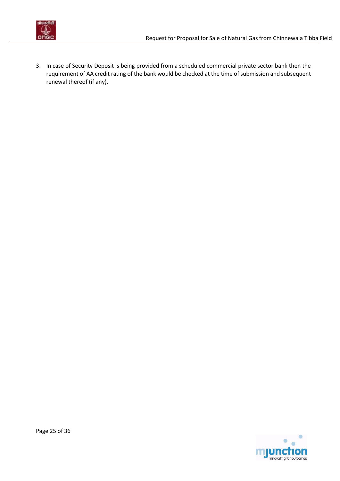

<span id="page-24-0"></span>3. In case of Security Deposit is being provided from a scheduled commercial private sector bank then the requirement of AA credit rating of the bank would be checked at the time of submission and subsequent renewal thereof (if any).

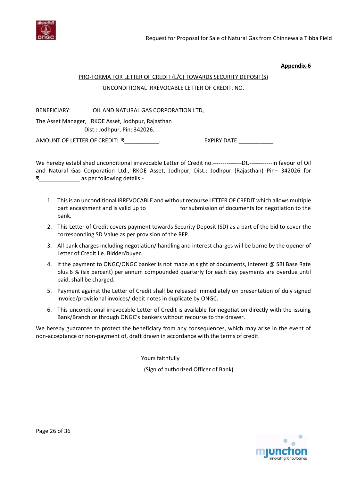

#### **Appendix-6**

# PRO-FORMA FOR LETTER OF CREDIT (L/C) TOWARDS SECURITY DEPOSIT(S) UNCONDITIONAL IRREVOCABLE LETTER OF CREDIT. NO.

BENEFICIARY: OIL AND NATURAL GAS CORPORATION LTD,

The Asset Manager, RKOE Asset, Jodhpur, Rajasthan Dist.: Jodhpur, Pin: 342026.

AMOUNT OF LETTER OF CREDIT: ₹\_\_\_\_\_\_\_\_\_\_\_. EXPIRY DATE. \_\_\_\_\_\_\_\_\_\_\_\_.

We hereby established unconditional irrevocable Letter of Credit no.---------------Dt.------------in favour of Oil and Natural Gas Corporation Ltd., RKOE Asset, Jodhpur, Dist.: Jodhpur (Rajasthan) Pin– 342026 for ₹\_\_\_\_\_\_\_\_\_\_\_\_\_ as per following details:-

- 1. This is an unconditional IRREVOCABLE and without recourse LETTER OF CREDIT which allows multiple part encashment and is valid up to \_\_\_\_\_\_\_\_\_\_\_ for submission of documents for negotiation to the bank.
- 2. This Letter of Credit covers payment towards Security Deposit (SD) as a part of the bid to cover the corresponding SD Value as per provision of the RFP.
- 3. All bank charges including negotiation/ handling and interest charges will be borne by the opener of Letter of Credit i.e. Bidder/buyer.
- 4. If the payment to ONGC/ONGC banker is not made at sight of documents, interest @ SBI Base Rate plus 6 % (six percent) per annum compounded quarterly for each day payments are overdue until paid, shall be charged.
- 5. Payment against the Letter of Credit shall be released immediately on presentation of duly signed invoice/provisional invoices/ debit notes in duplicate by ONGC.
- 6. This unconditional irrevocable Letter of Credit is available for negotiation directly with the issuing Bank/Branch or through ONGC's bankers without recourse to the drawer.

We hereby guarantee to protect the beneficiary from any consequences, which may arise in the event of non-acceptance or non-payment of, draft drawn in accordance with the terms of credit.

Yours faithfully

(Sign of authorized Officer of Bank)

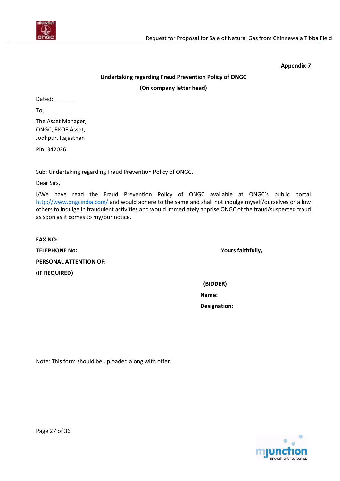

#### **Appendix-7**

## **Undertaking regarding Fraud Prevention Policy of ONGC (On company letter head)**

Dated: \_\_\_\_\_\_\_\_

To,

The Asset Manager, ONGC, RKOE Asset, Jodhpur, Rajasthan

Pin: 342026.

Sub: Undertaking regarding Fraud Prevention Policy of ONGC.

Dear Sirs,

I/We have read the Fraud Prevention Policy of ONGC available at ONGC's public portal <http://www.ongcindia.com/> and would adhere to the same and shall not indulge myself/ourselves or allow others to indulge in fraudulent activities and would immediately apprise ONGC of the fraud/suspected fraud as soon as it comes to my/our notice.

**FAX NO: TELEPHONE No: Yours faithfully, PERSONAL ATTENTION OF: (IF REQUIRED)**

 **(BIDDER)**

**Name: Designation:**

<span id="page-26-0"></span>Note: This form should be uploaded along with offer.

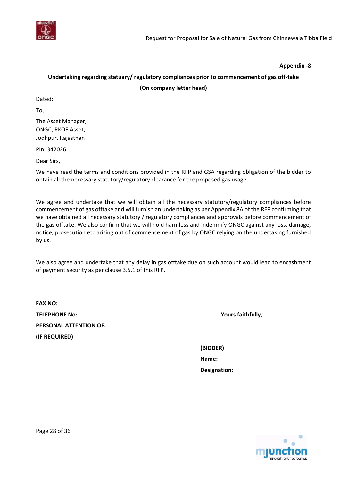

#### **Appendix -8**

# **Undertaking regarding statuary/ regulatory compliances prior to commencement of gas off-take**

#### **(On company letter head)**

Dated:

To,

The Asset Manager, ONGC, RKOE Asset, Jodhpur, Rajasthan

Pin: 342026.

Dear Sirs,

We have read the terms and conditions provided in the RFP and GSA regarding obligation of the bidder to obtain all the necessary statutory/regulatory clearance for the proposed gas usage.

We agree and undertake that we will obtain all the necessary statutory/regulatory compliances before commencement of gas offtake and will furnish an undertaking as per Appendix 8A of the RFP confirming that we have obtained all necessary statutory / regulatory compliances and approvals before commencement of the gas offtake. We also confirm that we will hold harmless and indemnify ONGC against any loss, damage, notice, prosecution etc arising out of commencement of gas by ONGC relying on the undertaking furnished by us.

We also agree and undertake that any delay in gas offtake due on such account would lead to encashment of payment security as per claus[e 3.5.1](#page-6-3) of this RFP.

**FAX NO: TELEPHONE No: Yours faithfully, PERSONAL ATTENTION OF: (IF REQUIRED)**

**(BIDDER) Name: Designation:**

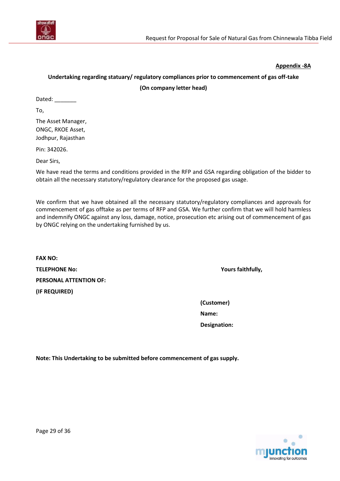

**Appendix -8A**

### <span id="page-28-0"></span>**Undertaking regarding statuary/ regulatory compliances prior to commencement of gas off-take**

**(On company letter head)**

Dated:

To,

The Asset Manager, ONGC, RKOE Asset, Jodhpur, Rajasthan

Pin: 342026.

Dear Sirs,

We have read the terms and conditions provided in the RFP and GSA regarding obligation of the bidder to obtain all the necessary statutory/regulatory clearance for the proposed gas usage.

We confirm that we have obtained all the necessary statutory/regulatory compliances and approvals for commencement of gas offtake as per terms of RFP and GSA. We further confirm that we will hold harmless and indemnify ONGC against any loss, damage, notice, prosecution etc arising out of commencement of gas by ONGC relying on the undertaking furnished by us.

**FAX NO: TELEPHONE No: Yours faithfully, PERSONAL ATTENTION OF: (IF REQUIRED)**

**(Customer) Name: Designation:**

**Note: This Undertaking to be submitted before commencement of gas supply.**

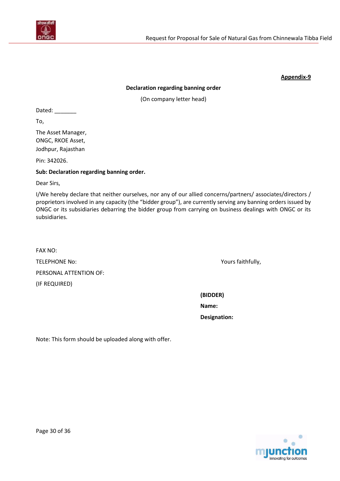

#### **Appendix-9**

#### **Declaration regarding banning order**

(On company letter head)

<span id="page-29-0"></span>Dated:

To,

The Asset Manager, ONGC, RKOE Asset, Jodhpur, Rajasthan

Pin: 342026.

#### **Sub: Declaration regarding banning order.**

Dear Sirs,

I/We hereby declare that neither ourselves, nor any of our allied concerns/partners/ associates/directors / proprietors involved in any capacity (the "bidder group"), are currently serving any banning orders issued by ONGC or its subsidiaries debarring the bidder group from carrying on business dealings with ONGC or its subsidiaries.

FAX NO: TELEPHONE No: Yours faithfully, PERSONAL ATTENTION OF: (IF REQUIRED)

**(BIDDER)**

**Name:**

 **Designation:**

Note: This form should be uploaded along with offer.

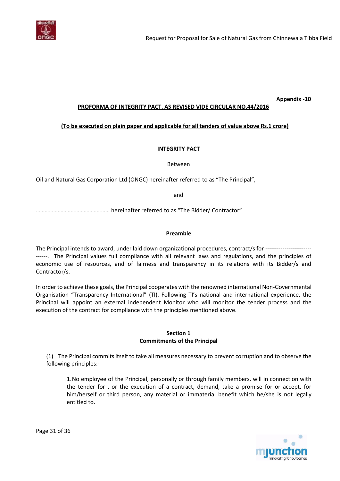

#### **Appendix -10**

#### **PROFORMA OF INTEGRITY PACT, AS REVISED VIDE CIRCULAR NO.44/2016**

#### <span id="page-30-0"></span>**(To be executed on plain paper and applicable for all tenders of value above Rs.1 crore)**

#### **INTEGRITY PACT**

Between

Oil and Natural Gas Corporation Ltd (ONGC) hereinafter referred to as "The Principal",

and

…………………………………………… hereinafter referred to as "The Bidder/ Contractor"

#### **Preamble**

The Principal intends to award, under laid down organizational procedures, contract/s for ---------------------------. The Principal values full compliance with all relevant laws and regulations, and the principles of economic use of resources, and of fairness and transparency in its relations with its Bidder/s and Contractor/s.

In order to achieve these goals, the Principal cooperates with the renowned international Non-Governmental Organisation "Transparency International" (TI). Following TI's national and international experience, the Principal will appoint an external independent Monitor who will monitor the tender process and the execution of the contract for compliance with the principles mentioned above.

#### **Section 1 Commitments of the Principal**

(1) The Principal commits itself to take all measures necessary to prevent corruption and to observe the following principles:-

1.No employee of the Principal, personally or through family members, will in connection with the tender for , or the execution of a contract, demand, take a promise for or accept, for him/herself or third person, any material or immaterial benefit which he/she is not legally entitled to.



Page 31 of 36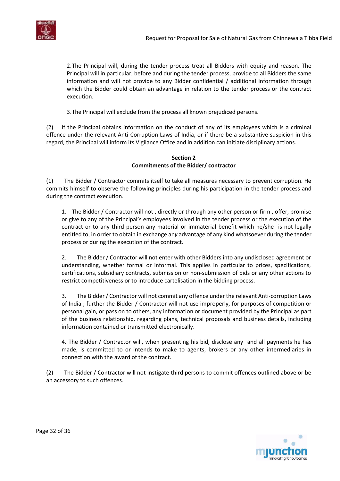

2.The Principal will, during the tender process treat all Bidders with equity and reason. The Principal will in particular, before and during the tender process, provide to all Bidders the same information and will not provide to any Bidder confidential / additional information through which the Bidder could obtain an advantage in relation to the tender process or the contract execution.

3.The Principal will exclude from the process all known prejudiced persons.

(2) If the Principal obtains information on the conduct of any of its employees which is a criminal offence under the relevant Anti-Corruption Laws of India, or if there be a substantive suspicion in this regard, the Principal will inform its Vigilance Office and in addition can initiate disciplinary actions.

#### **Section 2 Commitments of the Bidder/ contractor**

(1) The Bidder / Contractor commits itself to take all measures necessary to prevent corruption. He commits himself to observe the following principles during his participation in the tender process and during the contract execution.

1. The Bidder / Contractor will not , directly or through any other person or firm , offer, promise or give to any of the Principal's employees involved in the tender process or the execution of the contract or to any third person any material or immaterial benefit which he/she is not legally entitled to, in order to obtain in exchange an*y* advantage of any kind whatsoever during the tender process or during the execution of the contract.

2. The Bidder / Contractor will not enter with other Bidders into any undisclosed agreement or understanding, whether formal or informal. This applies in particular to prices, specifications, certifications, subsidiary contracts, submission or non-submission of bids or any other actions to restrict competitiveness or to introduce cartelisation in the bidding process.

3. The Bidder / Contractor will not commit any offence under the relevant Anti-corruption Laws of India ; further the Bidder / Contractor will not use improperly, for purposes of competition or personal gain, or pass on to others, any information or document provided by the Principal as part of the business relationship, regarding plans, technical proposals and business details, including information contained or transmitted electronically.

4. The Bidder / Contracto*r* will, when presenting his bid, disclose any and all payments he has made, is committed to or intends to make to agents, brokers or any other intermediaries in connection with the award of the contract.

(2) The Bidder / Contractor will not instigate third persons to commit offences outlined above or be an accessory to such offences.

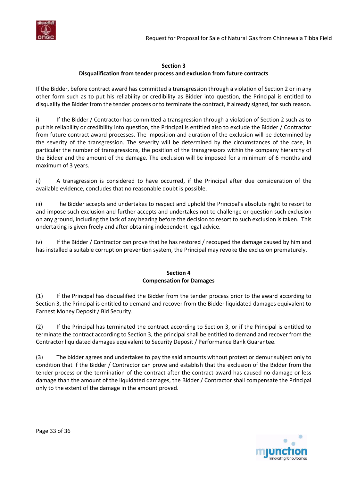

#### **Section 3**

#### **Disqualification from tender process and exclusion from future contracts**

If the Bidder, before contract award has committed a transgression through a violation of Section 2 or in any other form such as to put his reliability or credibility as Bidder into question, the Principal is entitled to disqualify the Bidder from the tender process or to terminate the contract, if already signed, for such reason.

i) If the Bidder / Contractor has committed a transgression through a violation of Section 2 such as to put his reliability or credibility into question, the Principal is entitled also to exclude the Bidder / Contractor from future contract award processes. The imposition and duration of the exclusion will be determined by the severity of the transgression. The severity will be dete*r*mined by the circumstances of the case, in particular the number of transgressions, the position of the transgressors within the company hierarchy of the Bidder and the amount of the damage. The exclusion will be imposed for a minimum of 6 months and maximum of 3 years.

ii) A transgression is considered to have occurred, if the Principal after due consideration of the available evidence, concludes that no reasonable doubt is possible.

iii) The Bidder accepts and undertakes to respect and uphold the Principal's absolute right to resort to and impose such exclusion and further accepts and undertakes not to challenge or question such exclusion on any ground, including the lack of any hearing before the decision to resort to such exclusion is taken. This undertaking is given freely and after obtaining independent legal advice.

iv) If the Bidder / Contractor can prove that he has restored / recouped the damage caused by him and has installed a suitable corruption prevention system, the Principal may revoke the exclusion prematurely.

#### **Section 4 Compensation for Damages**

(1) If the Principal has disqualified the Bidder from the tender process prior to the award according to Section 3, the Principal is entitled to demand and recover from the Bidder liquidated damages equivalent to Earnest Money Deposit / Bid Security.

(2) If the Principal has terminated the contract according to Section 3, or if the Principal is entitled to terminate the contract according to Section 3, the principal shall be entitled to demand and recover from the Contractor liquidated damages equivalent to Security Deposit / Performance Bank Guarantee.

(3) The bidder agrees and undertakes to pay the said amounts without protest or demur subject only to condition that if the Bidder / Contractor can prove and establish that the exclusion of the Bidder from the tender process or the termination of the contract after the contract award has caused no damage or less damage than the amount of the liquidated damages, the Bidder / Contractor shall compensate the Principal only to the extent of the damage in the amount proved.

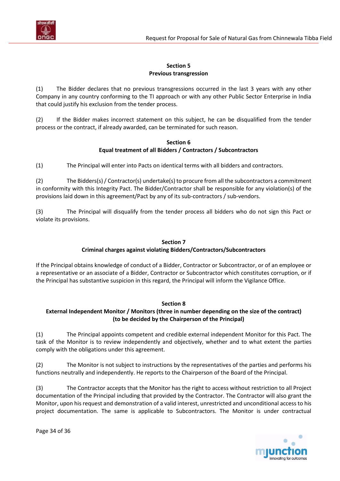

### **Section 5 Previous transgression**

(1) The Bidder declares that no previous transgressions occurred in the last 3 years with any other Company in any country conforming to the TI approach or with any other Public Sector Enterprise in India that could justify his exclusion from the tender process.

(2) If the Bidder makes incorrect statement on this subject, he can be disqualified from the tender process or the contract, if already awarded, can be terminated for such reason.

#### **Section 6 Equal treatment of all Bidders / Contractors / Subcontractors**

(1) The Principal will enter into Pacts on identical terms with all bidders and contractors.

(2) The Bidders(s) / Contractor(s) undertake(s) to procure from all the subcontractors a commitment in conformity with this Integrity Pact. The Bidder/Contractor shall be responsible for any violation(s) of the provisions laid down in this agreement/Pact by any of its sub-contractors / sub-vendors.

(3) The Principal will disqualify from the tender process all bidders who do not sign this Pact or violate its provisions.

### **Section 7 Criminal charges against violating Bidders/Contractors/Subcontractors**

If the Principal obtains knowledge of conduct of a Bidder, Contractor or Subcontractor, or of an employee or a representative or an associate of a Bidder, Contractor or Subcontractor which constitutes corruption, or if the Principal has substantive suspicion in this regard, the Principal will inform the Vigilance Office.

### **Section 8**

### **External Independent Monitor / Monitors (three in number depending on the size of the contract) (to be decided by the Chairperson of the Principal)**

(1) The Principal appoints competent and credible external independent Monitor for this Pact. The task of the Monitor is to review independently and objectively, whether and to what extent the parties comply with the obligations under this agreement.

(2) The Monitor is not subject to instructions by the representatives of the parties and performs his functions neutrally and independently. He reports to the Chairperson of the Board of the Principal.

(3) The Contractor accepts that the Monitor has the right to access without restriction to all Project documentation of the Principal including that provided by the Contractor*.* The Contractor will also grant the Monitor, upon his request and demonstration of a valid interest, unrestricted and unconditional access to his project documentation. The same is applicable to Subcontractors. The Monitor is under contractual



Page 34 of 36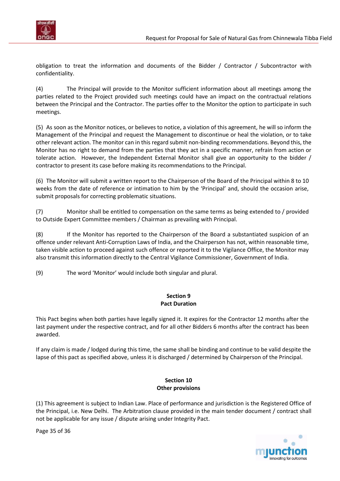

obligation to treat the information and documents of the Bidder / Contractor / Subcontractor with confidentiality.

(4) The Principal will provide to the Monitor sufficient information about all meetings among the parties related to the Project provided such meetings could have an impact on the contractual relations between the Principal and the Contractor. The parties offer to the Monitor the option to participate in such meetings.

(5) As soon as the Monitor notices, or believes to notice, a violation of this agreement, he will so inform the Management of the Principal and request the Management to discontinue or heal the violation, or to take other relevant action. The monitor can in this regard submit non-binding recommendations. Beyond this, the Monitor has no right to demand from the parties that they act in a specific manner, refrain from action or tolerate action. However, the Independent External Monitor shall give an opportunity to the bidder / contractor to present its case before making its recommendations to the Principal.

(6) The Monitor will submit a written report to the Chairperson of the Board of the Principal within 8 to 10 weeks from the date of reference or intimation to him by the 'Principal' and, should the occasion arise, submit proposals for correcting problematic situations.

(7) Monitor shall be entitled to compensation on the same terms as being extended to / provided to Outside Expert Committee members / Chairman as prevailing with Principal.

(8) If the Monitor has reported to the Chairperson of the Board a substantiated suspicion of an offence under relevant Anti-Corruption Laws of India, and the Chairperson has not, within reasonable time, taken visible action to proceed against such offence or reported it to the Vigilance Office, the Monitor may also transmit this information directly to the Central Vigilance Commissioner, Government of India.

(9) The word 'Monitor' would include both singular and plural.

#### **Section 9 Pact Duration**

This Pact begins when both parties have legally signed it. It expires for the Contractor 12 months after the last payment under the respective contract, and for all other Bidders 6 months after the contract has been awarded.

If any claim is made / lodged during this time, the same shall be binding and continue to be valid despite the lapse of this pact as specified above, unless it is discharged / determined by Chairperson of the Principal.

#### **Section 10 Other provisions**

(1) This agreement is subject to Indian Law. Place of performance and jurisdiction is the Registered Office of the Principal, i.e. New Delhi.The Arbitration clause provided in the main tender document / contract shall not be applicable for any issue / dispute arising under Integrity Pact.



Page 35 of 36